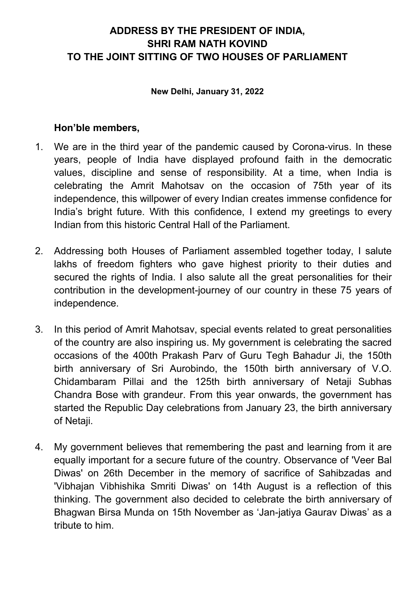# ADDRESS BY THE PRESIDENT OF INDIA, SHRI RAM NATH KOVIND TO THE JOINT SITTING OF TWO HOUSES OF PARLIAMENT

#### New Delhi, January 31, 2022

- 1. We are in the third year of the pandemic caused by Corona-virus. In these years, people of India have displayed profound faith in the democratic values, discipline and sense of responsibility. At a time, when India is celebrating the Amrit Mahotsav on the occasion of 75th year of its independence, this willpower of every Indian creates immense confidence for India's bright future. With this confidence, I extend my greetings to every Indian from this historic Central Hall of the Parliament.
- 2. Addressing both Houses of Parliament assembled together today, I salute lakhs of freedom fighters who gave highest priority to their duties and secured the rights of India. I also salute all the great personalities for their contribution in the development-journey of our country in these 75 years of independence.
- 3. In this period of Amrit Mahotsav, special events related to great personalities of the country are also inspiring us. My government is celebrating the sacred occasions of the 400th Prakash Parv of Guru Tegh Bahadur Ji, the 150th birth anniversary of Sri Aurobindo, the 150th birth anniversary of V.O. Chidambaram Pillai and the 125th birth anniversary of Netaji Subhas Chandra Bose with grandeur. From this year onwards, the government has started the Republic Day celebrations from January 23, the birth anniversary of Netaji.
- 4. My government believes that remembering the past and learning from it are equally important for a secure future of the country. Observance of 'Veer Bal Diwas' on 26th December in the memory of sacrifice of Sahibzadas and 'Vibhajan Vibhishika Smriti Diwas' on 14th August is a reflection of this thinking. The government also decided to celebrate the birth anniversary of Bhagwan Birsa Munda on 15th November as 'Jan-jatiya Gaurav Diwas' as a tribute to him.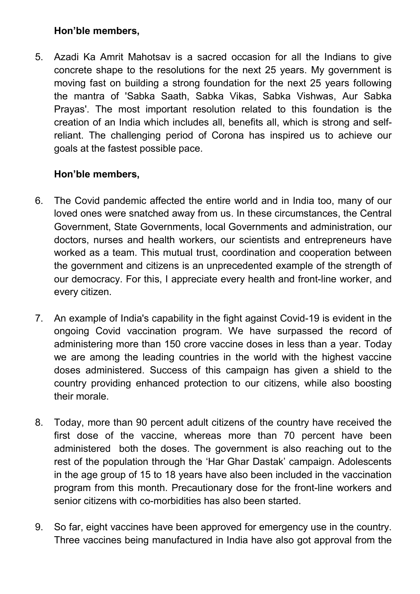5. Azadi Ka Amrit Mahotsav is a sacred occasion for all the Indians to give concrete shape to the resolutions for the next 25 years. My government is moving fast on building a strong foundation for the next 25 years following the mantra of 'Sabka Saath, Sabka Vikas, Sabka Vishwas, Aur Sabka Prayas'. The most important resolution related to this foundation is the creation of an India which includes all, benefits all, which is strong and selfreliant. The challenging period of Corona has inspired us to achieve our goals at the fastest possible pace.

- 6. The Covid pandemic affected the entire world and in India too, many of our loved ones were snatched away from us. In these circumstances, the Central Government, State Governments, local Governments and administration, our doctors, nurses and health workers, our scientists and entrepreneurs have worked as a team. This mutual trust, coordination and cooperation between the government and citizens is an unprecedented example of the strength of our democracy. For this, I appreciate every health and front-line worker, and every citizen.
- 7. An example of India's capability in the fight against Covid-19 is evident in the ongoing Covid vaccination program. We have surpassed the record of administering more than 150 crore vaccine doses in less than a year. Today we are among the leading countries in the world with the highest vaccine doses administered. Success of this campaign has given a shield to the country providing enhanced protection to our citizens, while also boosting their morale.
- 8. Today, more than 90 percent adult citizens of the country have received the first dose of the vaccine, whereas more than 70 percent have been administered both the doses. The government is also reaching out to the rest of the population through the 'Har Ghar Dastak' campaign. Adolescents in the age group of 15 to 18 years have also been included in the vaccination program from this month. Precautionary dose for the front-line workers and senior citizens with co-morbidities has also been started.
- 9. So far, eight vaccines have been approved for emergency use in the country. Three vaccines being manufactured in India have also got approval from the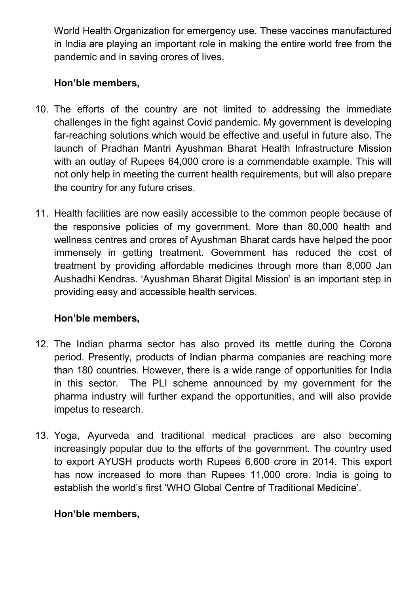World Health Organization for emergency use. These vaccines manufactured in India are playing an important role in making the entire world free from the pandemic and in saving crores of lives.

# Hon'ble members,

- 10. The efforts of the country are not limited to addressing the immediate challenges in the fight against Covid pandemic. My government is developing far-reaching solutions which would be effective and useful in future also. The launch of Pradhan Mantri Ayushman Bharat Health Infrastructure Mission with an outlay of Rupees 64,000 crore is a commendable example. This will not only help in meeting the current health requirements, but will also prepare the country for any future crises.
- 11. Health facilities are now easily accessible to the common people because of the responsive policies of my government. More than 80,000 health and wellness centres and crores of Ayushman Bharat cards have helped the poor immensely in getting treatment. Government has reduced the cost of treatment by providing affordable medicines through more than 8,000 Jan Aushadhi Kendras. 'Ayushman Bharat Digital Mission' is an important step in providing easy and accessible health services.

# Hon'ble members,

- 12. The Indian pharma sector has also proved its mettle during the Corona period. Presently, products of Indian pharma companies are reaching more than 180 countries. However, there is a wide range of opportunities for India in this sector. The PLI scheme announced by my government for the pharma industry will further expand the opportunities, and will also provide impetus to research.
- 13. Yoga, Ayurveda and traditional medical practices are also becoming increasingly popular due to the efforts of the government. The country used to export AYUSH products worth Rupees 6,600 crore in 2014. This export has now increased to more than Rupees 11,000 crore. India is going to establish the world's first 'WHO Global Centre of Traditional Medicine'.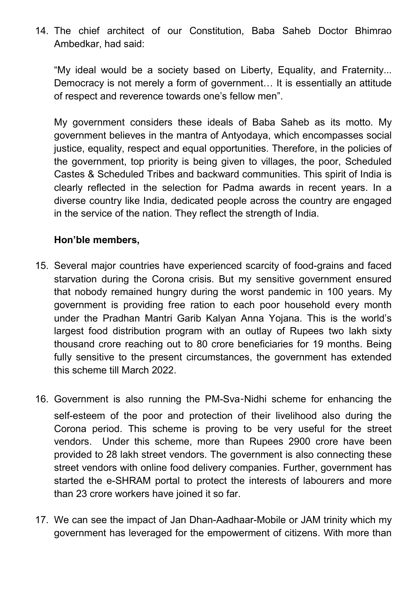14. The chief architect of our Constitution, Baba Saheb Doctor Bhimrao Ambedkar, had said:

"My ideal would be a society based on Liberty, Equality, and Fraternity... Democracy is not merely a form of government… It is essentially an attitude of respect and reverence towards one's fellow men".

My government considers these ideals of Baba Saheb as its motto. My government believes in the mantra of Antyodaya, which encompasses social justice, equality, respect and equal opportunities. Therefore, in the policies of the government, top priority is being given to villages, the poor, Scheduled Castes & Scheduled Tribes and backward communities. This spirit of India is clearly reflected in the selection for Padma awards in recent years. In a diverse country like India, dedicated people across the country are engaged in the service of the nation. They reflect the strength of India.

- 15. Several major countries have experienced scarcity of food-grains and faced starvation during the Corona crisis. But my sensitive government ensured that nobody remained hungry during the worst pandemic in 100 years. My government is providing free ration to each poor household every month under the Pradhan Mantri Garib Kalyan Anna Yojana. This is the world's largest food distribution program with an outlay of Rupees two lakh sixty thousand crore reaching out to 80 crore beneficiaries for 19 months. Being fully sensitive to the present circumstances, the government has extended this scheme till March 2022.
- 16. Government is also running the PM-Sva-Nidhi scheme for enhancing the self-esteem of the poor and protection of their livelihood also during the Corona period. This scheme is proving to be very useful for the street vendors. Under this scheme, more than Rupees 2900 crore have been provided to 28 lakh street vendors. The government is also connecting these street vendors with online food delivery companies. Further, government has started the e-SHRAM portal to protect the interests of labourers and more than 23 crore workers have joined it so far.
- 17. We can see the impact of Jan Dhan-Aadhaar-Mobile or JAM trinity which my government has leveraged for the empowerment of citizens. With more than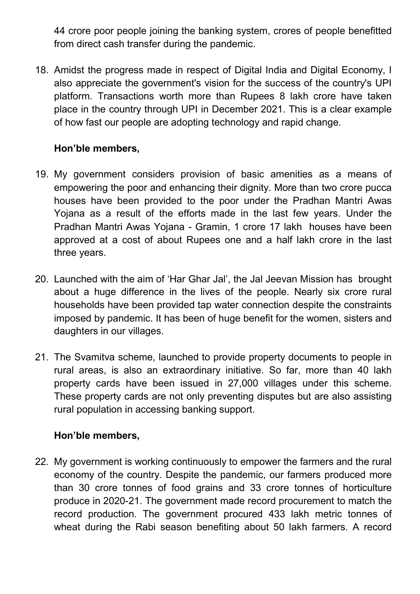44 crore poor people joining the banking system, crores of people benefitted from direct cash transfer during the pandemic.

18. Amidst the progress made in respect of Digital India and Digital Economy, I also appreciate the government's vision for the success of the country's UPI platform. Transactions worth more than Rupees 8 lakh crore have taken place in the country through UPI in December 2021. This is a clear example of how fast our people are adopting technology and rapid change.

# Hon'ble members,

- 19. My government considers provision of basic amenities as a means of empowering the poor and enhancing their dignity. More than two crore pucca houses have been provided to the poor under the Pradhan Mantri Awas Yojana as a result of the efforts made in the last few years. Under the Pradhan Mantri Awas Yojana - Gramin, 1 crore 17 lakh houses have been approved at a cost of about Rupees one and a half lakh crore in the last three years.
- 20. Launched with the aim of 'Har Ghar Jal', the Jal Jeevan Mission has brought about a huge difference in the lives of the people. Nearly six crore rural households have been provided tap water connection despite the constraints imposed by pandemic. It has been of huge benefit for the women, sisters and daughters in our villages.
- 21. The Svamitva scheme, launched to provide property documents to people in rural areas, is also an extraordinary initiative. So far, more than 40 lakh property cards have been issued in 27,000 villages under this scheme. These property cards are not only preventing disputes but are also assisting rural population in accessing banking support.

# Hon'ble members,

22. My government is working continuously to empower the farmers and the rural economy of the country. Despite the pandemic, our farmers produced more than 30 crore tonnes of food grains and 33 crore tonnes of horticulture produce in 2020-21. The government made record procurement to match the record production. The government procured 433 lakh metric tonnes of wheat during the Rabi season benefiting about 50 lakh farmers. A record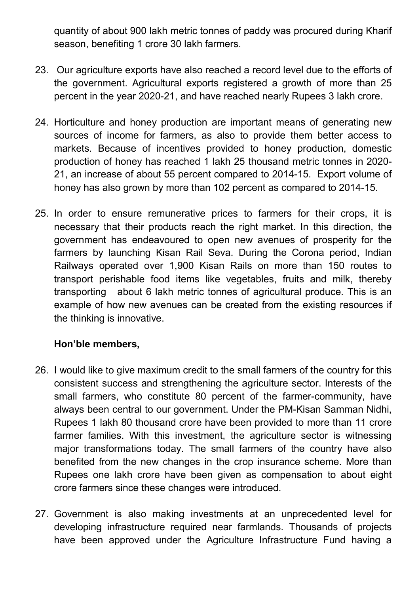quantity of about 900 lakh metric tonnes of paddy was procured during Kharif season, benefiting 1 crore 30 lakh farmers.

- 23. Our agriculture exports have also reached a record level due to the efforts of the government. Agricultural exports registered a growth of more than 25 percent in the year 2020-21, and have reached nearly Rupees 3 lakh crore.
- 24. Horticulture and honey production are important means of generating new sources of income for farmers, as also to provide them better access to markets. Because of incentives provided to honey production, domestic production of honey has reached 1 lakh 25 thousand metric tonnes in 2020- 21, an increase of about 55 percent compared to 2014-15. Export volume of honey has also grown by more than 102 percent as compared to 2014-15.
- 25. In order to ensure remunerative prices to farmers for their crops, it is necessary that their products reach the right market. In this direction, the government has endeavoured to open new avenues of prosperity for the farmers by launching Kisan Rail Seva. During the Corona period, Indian Railways operated over 1,900 Kisan Rails on more than 150 routes to transport perishable food items like vegetables, fruits and milk, thereby transporting about 6 lakh metric tonnes of agricultural produce. This is an example of how new avenues can be created from the existing resources if the thinking is innovative.

- 26. I would like to give maximum credit to the small farmers of the country for this consistent success and strengthening the agriculture sector. Interests of the small farmers, who constitute 80 percent of the farmer-community, have always been central to our government. Under the PM-Kisan Samman Nidhi, Rupees 1 lakh 80 thousand crore have been provided to more than 11 crore farmer families. With this investment, the agriculture sector is witnessing major transformations today. The small farmers of the country have also benefited from the new changes in the crop insurance scheme. More than Rupees one lakh crore have been given as compensation to about eight crore farmers since these changes were introduced.
- 27. Government is also making investments at an unprecedented level for developing infrastructure required near farmlands. Thousands of projects have been approved under the Agriculture Infrastructure Fund having a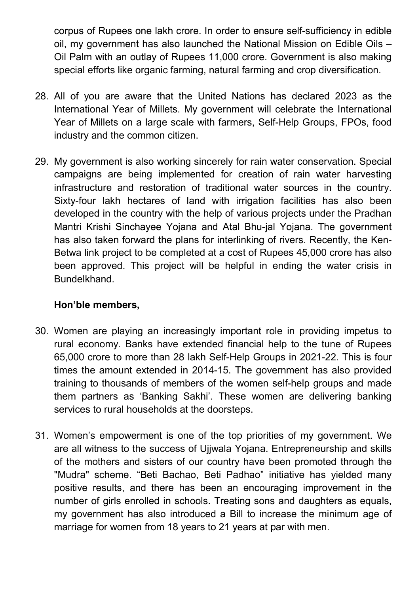corpus of Rupees one lakh crore. In order to ensure self-sufficiency in edible oil, my government has also launched the National Mission on Edible Oils – Oil Palm with an outlay of Rupees 11,000 crore. Government is also making special efforts like organic farming, natural farming and crop diversification.

- 28. All of you are aware that the United Nations has declared 2023 as the International Year of Millets. My government will celebrate the International Year of Millets on a large scale with farmers, Self-Help Groups, FPOs, food industry and the common citizen.
- 29. My government is also working sincerely for rain water conservation. Special campaigns are being implemented for creation of rain water harvesting infrastructure and restoration of traditional water sources in the country. Sixty-four lakh hectares of land with irrigation facilities has also been developed in the country with the help of various projects under the Pradhan Mantri Krishi Sinchayee Yojana and Atal Bhu-jal Yojana. The government has also taken forward the plans for interlinking of rivers. Recently, the Ken-Betwa link project to be completed at a cost of Rupees 45,000 crore has also been approved. This project will be helpful in ending the water crisis in Bundelkhand.

- 30. Women are playing an increasingly important role in providing impetus to rural economy. Banks have extended financial help to the tune of Rupees 65,000 crore to more than 28 lakh Self-Help Groups in 2021-22. This is four times the amount extended in 2014-15. The government has also provided training to thousands of members of the women self-help groups and made them partners as 'Banking Sakhi'. These women are delivering banking services to rural households at the doorsteps.
- 31. Women's empowerment is one of the top priorities of my government. We are all witness to the success of Ujjwala Yojana. Entrepreneurship and skills of the mothers and sisters of our country have been promoted through the "Mudra" scheme. "Beti Bachao, Beti Padhao" initiative has yielded many positive results, and there has been an encouraging improvement in the number of girls enrolled in schools. Treating sons and daughters as equals, my government has also introduced a Bill to increase the minimum age of marriage for women from 18 years to 21 years at par with men.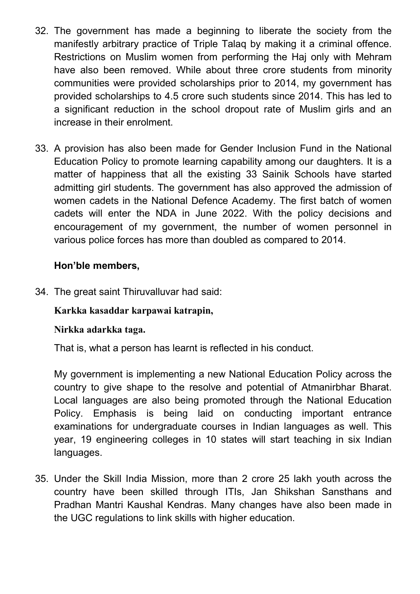- 32. The government has made a beginning to liberate the society from the manifestly arbitrary practice of Triple Talaq by making it a criminal offence. Restrictions on Muslim women from performing the Haj only with Mehram have also been removed. While about three crore students from minority communities were provided scholarships prior to 2014, my government has provided scholarships to 4.5 crore such students since 2014. This has led to a significant reduction in the school dropout rate of Muslim girls and an increase in their enrolment.
- 33. A provision has also been made for Gender Inclusion Fund in the National Education Policy to promote learning capability among our daughters. It is a matter of happiness that all the existing 33 Sainik Schools have started admitting girl students. The government has also approved the admission of women cadets in the National Defence Academy. The first batch of women cadets will enter the NDA in June 2022. With the policy decisions and encouragement of my government, the number of women personnel in various police forces has more than doubled as compared to 2014.

34. The great saint Thiruvalluvar had said:

# Karkka kasaddar karpawai katrapin,

#### Nirkka adarkka taga.

That is, what a person has learnt is reflected in his conduct.

My government is implementing a new National Education Policy across the country to give shape to the resolve and potential of Atmanirbhar Bharat. Local languages are also being promoted through the National Education Policy. Emphasis is being laid on conducting important entrance examinations for undergraduate courses in Indian languages as well. This year, 19 engineering colleges in 10 states will start teaching in six Indian languages.

35. Under the Skill India Mission, more than 2 crore 25 lakh youth across the country have been skilled through ITIs, Jan Shikshan Sansthans and Pradhan Mantri Kaushal Kendras. Many changes have also been made in the UGC regulations to link skills with higher education.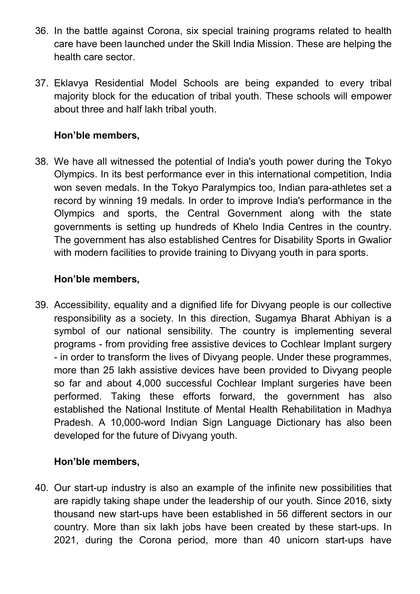- 36. In the battle against Corona, six special training programs related to health care have been launched under the Skill India Mission. These are helping the health care sector.
- 37. Eklavya Residential Model Schools are being expanded to every tribal majority block for the education of tribal youth. These schools will empower about three and half lakh tribal youth.

38. We have all witnessed the potential of India's youth power during the Tokyo Olympics. In its best performance ever in this international competition, India won seven medals. In the Tokyo Paralympics too, Indian para-athletes set a record by winning 19 medals. In order to improve India's performance in the Olympics and sports, the Central Government along with the state governments is setting up hundreds of Khelo India Centres in the country. The government has also established Centres for Disability Sports in Gwalior with modern facilities to provide training to Divyang youth in para sports.

### Hon'ble members,

39. Accessibility, equality and a dignified life for Divyang people is our collective responsibility as a society. In this direction, Sugamya Bharat Abhiyan is a symbol of our national sensibility. The country is implementing several programs - from providing free assistive devices to Cochlear Implant surgery - in order to transform the lives of Divyang people. Under these programmes, more than 25 lakh assistive devices have been provided to Divyang people so far and about 4,000 successful Cochlear Implant surgeries have been performed. Taking these efforts forward, the government has also established the National Institute of Mental Health Rehabilitation in Madhya Pradesh. A 10,000-word Indian Sign Language Dictionary has also been developed for the future of Divyang youth.

#### Hon'ble members,

40. Our start-up industry is also an example of the infinite new possibilities that are rapidly taking shape under the leadership of our youth. Since 2016, sixty thousand new start-ups have been established in 56 different sectors in our country. More than six lakh jobs have been created by these start-ups. In 2021, during the Corona period, more than 40 unicorn start-ups have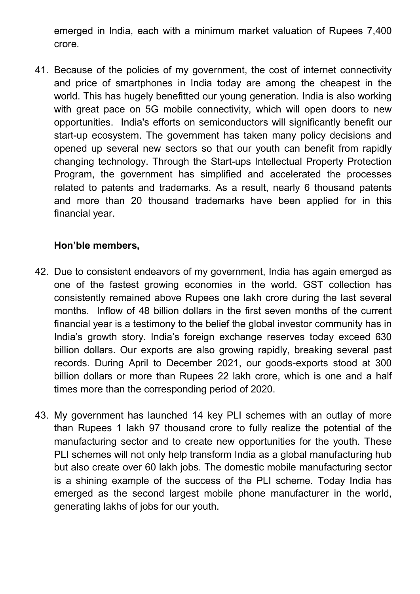emerged in India, each with a minimum market valuation of Rupees 7,400 crore.

41. Because of the policies of my government, the cost of internet connectivity and price of smartphones in India today are among the cheapest in the world. This has hugely benefitted our young generation. India is also working with great pace on 5G mobile connectivity, which will open doors to new opportunities. India's efforts on semiconductors will significantly benefit our start-up ecosystem. The government has taken many policy decisions and opened up several new sectors so that our youth can benefit from rapidly changing technology. Through the Start-ups Intellectual Property Protection Program, the government has simplified and accelerated the processes related to patents and trademarks. As a result, nearly 6 thousand patents and more than 20 thousand trademarks have been applied for in this financial year.

- 42. Due to consistent endeavors of my government, India has again emerged as one of the fastest growing economies in the world. GST collection has consistently remained above Rupees one lakh crore during the last several months. Inflow of 48 billion dollars in the first seven months of the current financial year is a testimony to the belief the global investor community has in India's growth story. India's foreign exchange reserves today exceed 630 billion dollars. Our exports are also growing rapidly, breaking several past records. During April to December 2021, our goods-exports stood at 300 billion dollars or more than Rupees 22 lakh crore, which is one and a half times more than the corresponding period of 2020.
- 43. My government has launched 14 key PLI schemes with an outlay of more than Rupees 1 lakh 97 thousand crore to fully realize the potential of the manufacturing sector and to create new opportunities for the youth. These PLI schemes will not only help transform India as a global manufacturing hub but also create over 60 lakh jobs. The domestic mobile manufacturing sector is a shining example of the success of the PLI scheme. Today India has emerged as the second largest mobile phone manufacturer in the world, generating lakhs of jobs for our youth.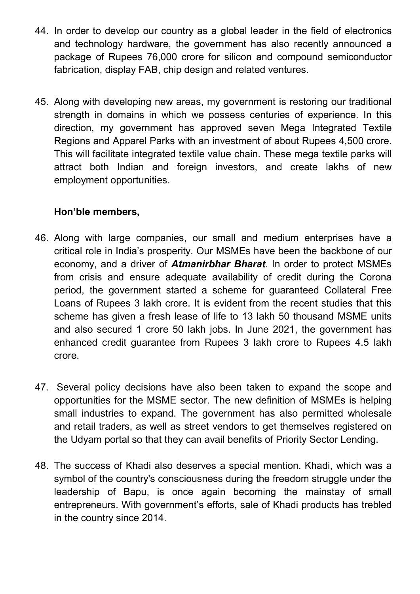- 44. In order to develop our country as a global leader in the field of electronics and technology hardware, the government has also recently announced a package of Rupees 76,000 crore for silicon and compound semiconductor fabrication, display FAB, chip design and related ventures.
- 45. Along with developing new areas, my government is restoring our traditional strength in domains in which we possess centuries of experience. In this direction, my government has approved seven Mega Integrated Textile Regions and Apparel Parks with an investment of about Rupees 4,500 crore. This will facilitate integrated textile value chain. These mega textile parks will attract both Indian and foreign investors, and create lakhs of new employment opportunities.

- 46. Along with large companies, our small and medium enterprises have a critical role in India's prosperity. Our MSMEs have been the backbone of our economy, and a driver of **Atmanirbhar Bharat**. In order to protect MSMEs from crisis and ensure adequate availability of credit during the Corona period, the government started a scheme for guaranteed Collateral Free Loans of Rupees 3 lakh crore. It is evident from the recent studies that this scheme has given a fresh lease of life to 13 lakh 50 thousand MSME units and also secured 1 crore 50 lakh jobs. In June 2021, the government has enhanced credit guarantee from Rupees 3 lakh crore to Rupees 4.5 lakh crore.
- 47. Several policy decisions have also been taken to expand the scope and opportunities for the MSME sector. The new definition of MSMEs is helping small industries to expand. The government has also permitted wholesale and retail traders, as well as street vendors to get themselves registered on the Udyam portal so that they can avail benefits of Priority Sector Lending.
- 48. The success of Khadi also deserves a special mention. Khadi, which was a symbol of the country's consciousness during the freedom struggle under the leadership of Bapu, is once again becoming the mainstay of small entrepreneurs. With government's efforts, sale of Khadi products has trebled in the country since 2014.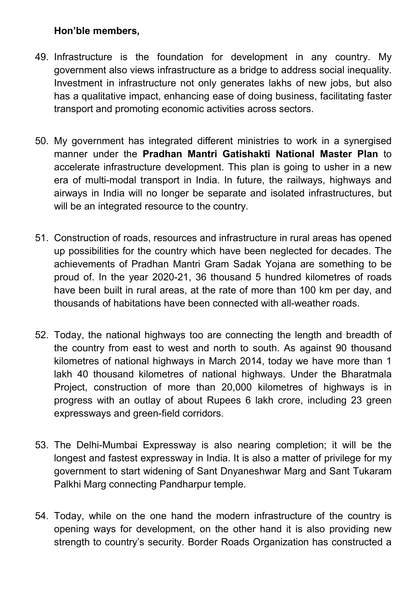- 49. Infrastructure is the foundation for development in any country. My government also views infrastructure as a bridge to address social inequality. Investment in infrastructure not only generates lakhs of new jobs, but also has a qualitative impact, enhancing ease of doing business, facilitating faster transport and promoting economic activities across sectors.
- 50. My government has integrated different ministries to work in a synergised manner under the Pradhan Mantri Gatishakti National Master Plan to accelerate infrastructure development. This plan is going to usher in a new era of multi-modal transport in India. In future, the railways, highways and airways in India will no longer be separate and isolated infrastructures, but will be an integrated resource to the country.
- 51. Construction of roads, resources and infrastructure in rural areas has opened up possibilities for the country which have been neglected for decades. The achievements of Pradhan Mantri Gram Sadak Yojana are something to be proud of. In the year 2020-21, 36 thousand 5 hundred kilometres of roads have been built in rural areas, at the rate of more than 100 km per day, and thousands of habitations have been connected with all-weather roads.
- 52. Today, the national highways too are connecting the length and breadth of the country from east to west and north to south. As against 90 thousand kilometres of national highways in March 2014, today we have more than 1 lakh 40 thousand kilometres of national highways. Under the Bharatmala Project, construction of more than 20,000 kilometres of highways is in progress with an outlay of about Rupees 6 lakh crore, including 23 green expressways and green-field corridors.
- 53. The Delhi-Mumbai Expressway is also nearing completion; it will be the longest and fastest expressway in India. It is also a matter of privilege for my government to start widening of Sant Dnyaneshwar Marg and Sant Tukaram Palkhi Marg connecting Pandharpur temple.
- 54. Today, while on the one hand the modern infrastructure of the country is opening ways for development, on the other hand it is also providing new strength to country's security. Border Roads Organization has constructed a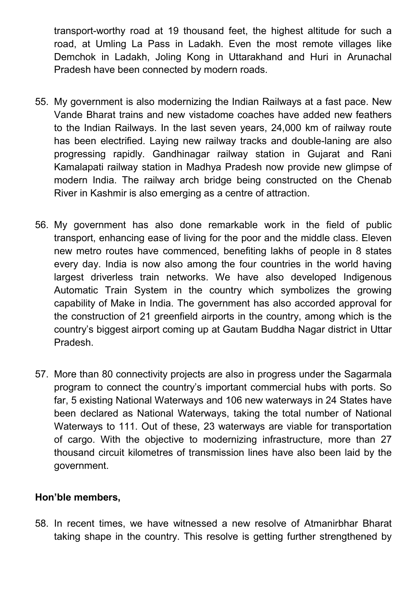transport-worthy road at 19 thousand feet, the highest altitude for such a road, at Umling La Pass in Ladakh. Even the most remote villages like Demchok in Ladakh, Joling Kong in Uttarakhand and Huri in Arunachal Pradesh have been connected by modern roads.

- 55. My government is also modernizing the Indian Railways at a fast pace. New Vande Bharat trains and new vistadome coaches have added new feathers to the Indian Railways. In the last seven years, 24,000 km of railway route has been electrified. Laying new railway tracks and double-laning are also progressing rapidly. Gandhinagar railway station in Gujarat and Rani Kamalapati railway station in Madhya Pradesh now provide new glimpse of modern India. The railway arch bridge being constructed on the Chenab River in Kashmir is also emerging as a centre of attraction.
- 56. My government has also done remarkable work in the field of public transport, enhancing ease of living for the poor and the middle class. Eleven new metro routes have commenced, benefiting lakhs of people in 8 states every day. India is now also among the four countries in the world having largest driverless train networks. We have also developed Indigenous Automatic Train System in the country which symbolizes the growing capability of Make in India. The government has also accorded approval for the construction of 21 greenfield airports in the country, among which is the country's biggest airport coming up at Gautam Buddha Nagar district in Uttar Pradesh.
- 57. More than 80 connectivity projects are also in progress under the Sagarmala program to connect the country's important commercial hubs with ports. So far, 5 existing National Waterways and 106 new waterways in 24 States have been declared as National Waterways, taking the total number of National Waterways to 111. Out of these, 23 waterways are viable for transportation of cargo. With the objective to modernizing infrastructure, more than 27 thousand circuit kilometres of transmission lines have also been laid by the government.

#### Hon'ble members,

58. In recent times, we have witnessed a new resolve of Atmanirbhar Bharat taking shape in the country. This resolve is getting further strengthened by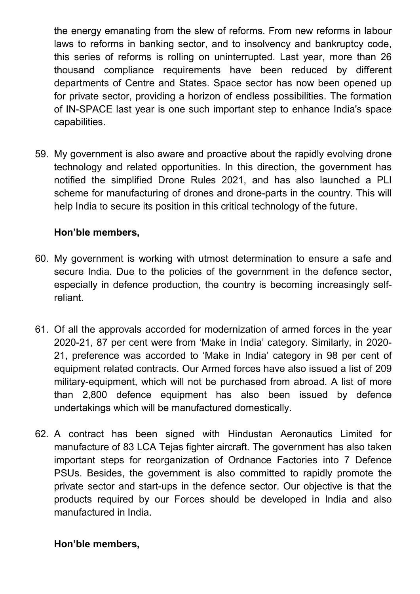the energy emanating from the slew of reforms. From new reforms in labour laws to reforms in banking sector, and to insolvency and bankruptcy code, this series of reforms is rolling on uninterrupted. Last year, more than 26 thousand compliance requirements have been reduced by different departments of Centre and States. Space sector has now been opened up for private sector, providing a horizon of endless possibilities. The formation of IN-SPACE last year is one such important step to enhance India's space capabilities.

59. My government is also aware and proactive about the rapidly evolving drone technology and related opportunities. In this direction, the government has notified the simplified Drone Rules 2021, and has also launched a PLI scheme for manufacturing of drones and drone-parts in the country. This will help India to secure its position in this critical technology of the future.

### Hon'ble members,

- 60. My government is working with utmost determination to ensure a safe and secure India. Due to the policies of the government in the defence sector, especially in defence production, the country is becoming increasingly selfreliant.
- 61. Of all the approvals accorded for modernization of armed forces in the year 2020-21, 87 per cent were from 'Make in India' category. Similarly, in 2020- 21, preference was accorded to 'Make in India' category in 98 per cent of equipment related contracts. Our Armed forces have also issued a list of 209 military-equipment, which will not be purchased from abroad. A list of more than 2,800 defence equipment has also been issued by defence undertakings which will be manufactured domestically.
- 62. A contract has been signed with Hindustan Aeronautics Limited for manufacture of 83 LCA Tejas fighter aircraft. The government has also taken important steps for reorganization of Ordnance Factories into 7 Defence PSUs. Besides, the government is also committed to rapidly promote the private sector and start-ups in the defence sector. Our objective is that the products required by our Forces should be developed in India and also manufactured in India.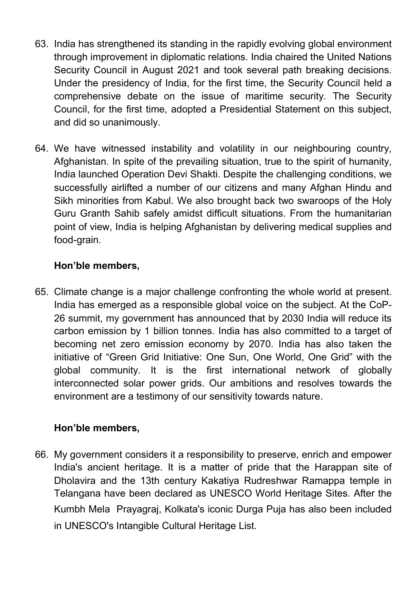- 63. India has strengthened its standing in the rapidly evolving global environment through improvement in diplomatic relations. India chaired the United Nations Security Council in August 2021 and took several path breaking decisions. Under the presidency of India, for the first time, the Security Council held a comprehensive debate on the issue of maritime security. The Security Council, for the first time, adopted a Presidential Statement on this subject, and did so unanimously.
- 64. We have witnessed instability and volatility in our neighbouring country, Afghanistan. In spite of the prevailing situation, true to the spirit of humanity, India launched Operation Devi Shakti. Despite the challenging conditions, we successfully airlifted a number of our citizens and many Afghan Hindu and Sikh minorities from Kabul. We also brought back two swaroops of the Holy Guru Granth Sahib safely amidst difficult situations. From the humanitarian point of view, India is helping Afghanistan by delivering medical supplies and food-grain.

65. Climate change is a major challenge confronting the whole world at present. India has emerged as a responsible global voice on the subject. At the CoP-26 summit, my government has announced that by 2030 India will reduce its carbon emission by 1 billion tonnes. India has also committed to a target of becoming net zero emission economy by 2070. India has also taken the initiative of "Green Grid Initiative: One Sun, One World, One Grid" with the global community. It is the first international network of globally interconnected solar power grids. Our ambitions and resolves towards the environment are a testimony of our sensitivity towards nature.

# Hon'ble members,

66. My government considers it a responsibility to preserve, enrich and empower India's ancient heritage. It is a matter of pride that the Harappan site of Dholavira and the 13th century Kakatiya Rudreshwar Ramappa temple in Telangana have been declared as UNESCO World Heritage Sites. After the Kumbh Mela Prayagraj, Kolkata's iconic Durga Puja has also been included in UNESCO's Intangible Cultural Heritage List.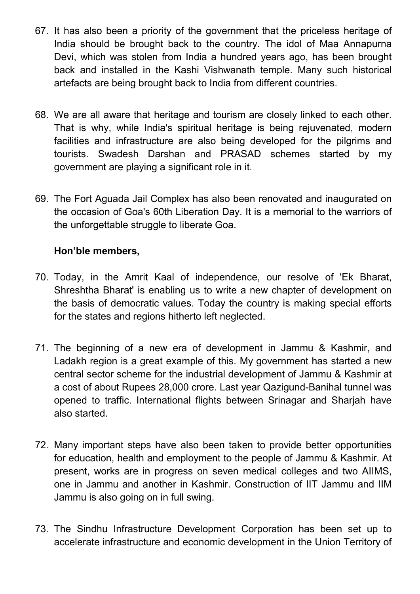- 67. It has also been a priority of the government that the priceless heritage of India should be brought back to the country. The idol of Maa Annapurna Devi, which was stolen from India a hundred years ago, has been brought back and installed in the Kashi Vishwanath temple. Many such historical artefacts are being brought back to India from different countries.
- 68. We are all aware that heritage and tourism are closely linked to each other. That is why, while India's spiritual heritage is being rejuvenated, modern facilities and infrastructure are also being developed for the pilgrims and tourists. Swadesh Darshan and PRASAD schemes started by my government are playing a significant role in it.
- 69. The Fort Aguada Jail Complex has also been renovated and inaugurated on the occasion of Goa's 60th Liberation Day. It is a memorial to the warriors of the unforgettable struggle to liberate Goa.

- 70. Today, in the Amrit Kaal of independence, our resolve of 'Ek Bharat, Shreshtha Bharat' is enabling us to write a new chapter of development on the basis of democratic values. Today the country is making special efforts for the states and regions hitherto left neglected.
- 71. The beginning of a new era of development in Jammu & Kashmir, and Ladakh region is a great example of this. My government has started a new central sector scheme for the industrial development of Jammu & Kashmir at a cost of about Rupees 28,000 crore. Last year Qazigund-Banihal tunnel was opened to traffic. International flights between Srinagar and Sharjah have also started.
- 72. Many important steps have also been taken to provide better opportunities for education, health and employment to the people of Jammu & Kashmir. At present, works are in progress on seven medical colleges and two AIIMS, one in Jammu and another in Kashmir. Construction of IIT Jammu and IIM Jammu is also going on in full swing.
- 73. The Sindhu Infrastructure Development Corporation has been set up to accelerate infrastructure and economic development in the Union Territory of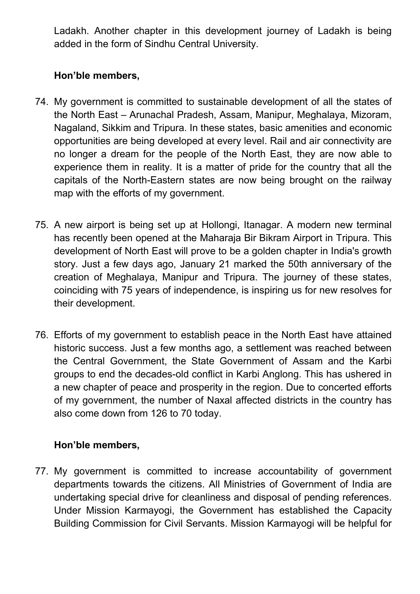Ladakh. Another chapter in this development journey of Ladakh is being added in the form of Sindhu Central University.

# Hon'ble members,

- 74. My government is committed to sustainable development of all the states of the North East – Arunachal Pradesh, Assam, Manipur, Meghalaya, Mizoram, Nagaland, Sikkim and Tripura. In these states, basic amenities and economic opportunities are being developed at every level. Rail and air connectivity are no longer a dream for the people of the North East, they are now able to experience them in reality. It is a matter of pride for the country that all the capitals of the North-Eastern states are now being brought on the railway map with the efforts of my government.
- 75. A new airport is being set up at Hollongi, Itanagar. A modern new terminal has recently been opened at the Maharaja Bir Bikram Airport in Tripura. This development of North East will prove to be a golden chapter in India's growth story. Just a few days ago, January 21 marked the 50th anniversary of the creation of Meghalaya, Manipur and Tripura. The journey of these states, coinciding with 75 years of independence, is inspiring us for new resolves for their development.
- 76. Efforts of my government to establish peace in the North East have attained historic success. Just a few months ago, a settlement was reached between the Central Government, the State Government of Assam and the Karbi groups to end the decades-old conflict in Karbi Anglong. This has ushered in a new chapter of peace and prosperity in the region. Due to concerted efforts of my government, the number of Naxal affected districts in the country has also come down from 126 to 70 today.

# Hon'ble members,

77. My government is committed to increase accountability of government departments towards the citizens. All Ministries of Government of India are undertaking special drive for cleanliness and disposal of pending references. Under Mission Karmayogi, the Government has established the Capacity Building Commission for Civil Servants. Mission Karmayogi will be helpful for